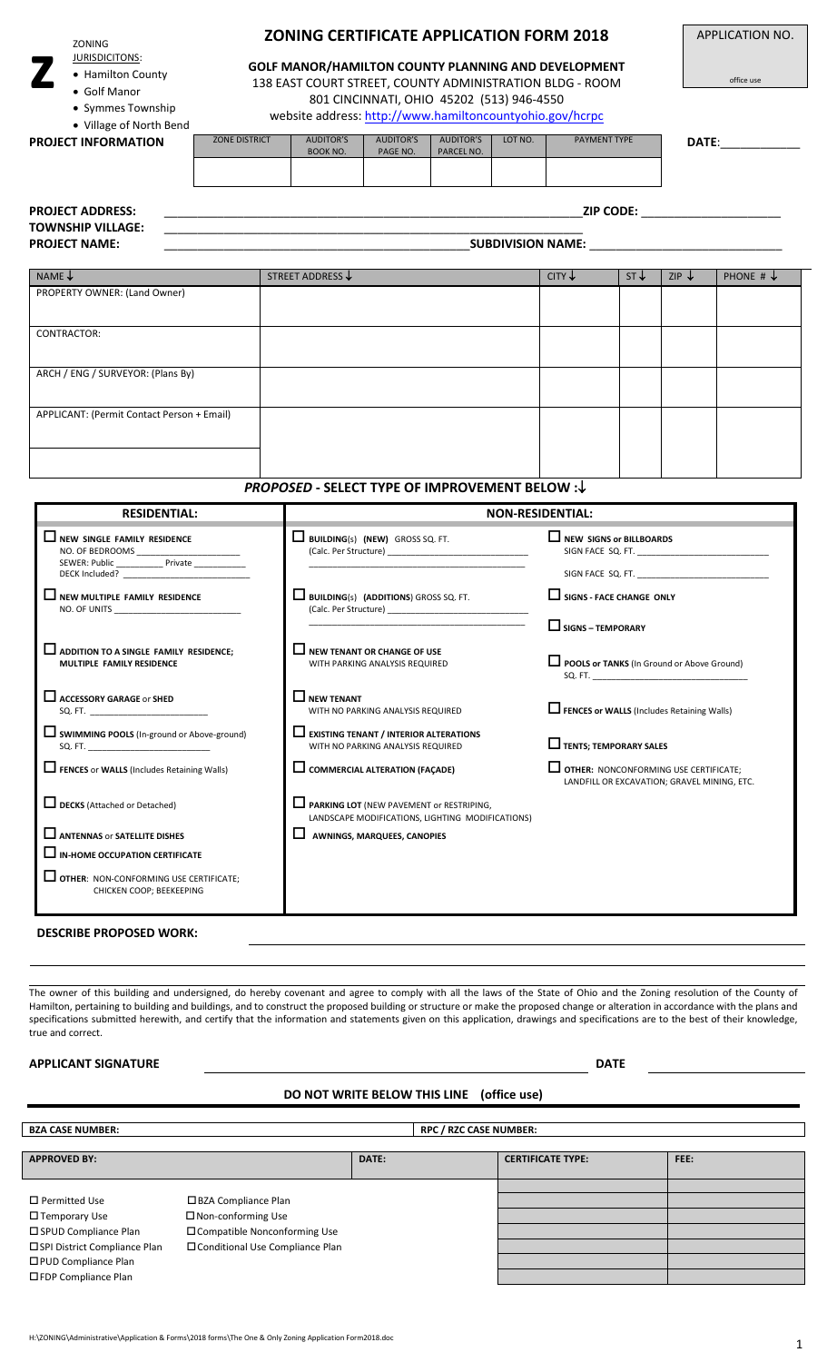ZONING

**z**

- JURISDICITONS:
- Hamilton County
- Golf Manor
- Symmes Township

## **ZONING CERTIFICATE APPLICATION FORM 2018**

**GOLF MANOR/HAMILTON COUNTY PLANNING AND DEVELOPMENT**  138 EAST COURT STREET, COUNTY ADMINISTRATION BLDG - ROOM 801 CINCINNATI, OHIO 45202 (513) 946-4550

website address[: http://www.hamiltoncountyohio.gov/hcrpc](http://www.hamiltoncountyohio.gov/hcrpc)

 Village of North Bend **PROJECT INFORMATION** ZONE DISTRICT AUDITOR'S BOOK NO. AUDITOR'S PAGE NO. AUDITOR'S PARCEL NO. LOT NO. **PAYMENT TYPE DATE:** 

APPLICATION NO.

office use

| <b>PROJECT ADDRESS:</b><br><b>TOWNSHIP VILLAGE:</b> | <b>ZIP CODE:</b>                                      |                                                                                                                                                                                                                                |                            |                      |  |  |  |
|-----------------------------------------------------|-------------------------------------------------------|--------------------------------------------------------------------------------------------------------------------------------------------------------------------------------------------------------------------------------|----------------------------|----------------------|--|--|--|
| <b>PROJECT NAME:</b>                                |                                                       | SUBDIVISION NAME: The contract of the contract of the contract of the contract of the contract of the contract of the contract of the contract of the contract of the contract of the contract of the contract of the contract |                            |                      |  |  |  |
| NAME $\downarrow$                                   | STREET ADDRESS $\downarrow$                           | $CITY \downarrow$                                                                                                                                                                                                              | $ST +$<br>ZIP $\downarrow$ | PHONE # $\downarrow$ |  |  |  |
| PROPERTY OWNER: (Land Owner)                        |                                                       |                                                                                                                                                                                                                                |                            |                      |  |  |  |
| CONTRACTOR:                                         |                                                       |                                                                                                                                                                                                                                |                            |                      |  |  |  |
| ARCH / ENG / SURVEYOR: (Plans By)                   |                                                       |                                                                                                                                                                                                                                |                            |                      |  |  |  |
| APPLICANT: (Permit Contact Person + Email)          |                                                       |                                                                                                                                                                                                                                |                            |                      |  |  |  |
|                                                     | <b>PROPOSED - SELECT TYPE OF IMPROVEMENT BELOW :↓</b> |                                                                                                                                                                                                                                |                            |                      |  |  |  |

| <b>RESIDENTIAL:</b>                                                                                                                                                                                                                                                                                                                                                |                                                                                                         | <b>NON-RESIDENTIAL:</b>                                                              |  |
|--------------------------------------------------------------------------------------------------------------------------------------------------------------------------------------------------------------------------------------------------------------------------------------------------------------------------------------------------------------------|---------------------------------------------------------------------------------------------------------|--------------------------------------------------------------------------------------|--|
| $\Box$ NEW SINGLE FAMILY RESIDENCE<br>NO. OF BEDROOMS _______________________<br>SEWER: Public _____________ Private ___________<br>DECK Included? The contract of the contract of the contract of the contract of the contract of the contract of the contract of the contract of the contract of the contract of the contract of the contract of the contract of | $\Box$ Building(s) (NEW) GROSS SQ. FT.<br>(Calc. Per Structure)                                         | $\Box$ NEW SIGNS or BILLBOARDS<br>SIGN FACE SQ. FT.<br>SIGN FACE SQ. FT.             |  |
| $\Box$ NEW MULTIPLE FAMILY RESIDENCE<br>NO. OF UNITS NO. IN THE SAME IS NOT THE SAME IN THE SAME IS NOT THE SAME IN THE SAME IS NOT THE SAME IS NOT THE SAME IS NOT THE SAME IS NOT THE SAME IS NOT THE SAME IS NOT THE SAME IS NOT THE SAME IS NOT THE SAME IS NOT TH                                                                                             | $\Box$ BUILDING(s) (ADDITIONS) GROSS SQ. FT.<br>(Calc. Per Structure)                                   | SIGNS - FACE CHANGE ONLY                                                             |  |
|                                                                                                                                                                                                                                                                                                                                                                    |                                                                                                         | $\Box$ SIGNS – TEMPORARY                                                             |  |
| <b>Let ADDITION TO A SINGLE FAMILY RESIDENCE;</b><br>MULTIPLE FAMILY RESIDENCE                                                                                                                                                                                                                                                                                     | $\Box$ NEW TENANT OR CHANGE OF USE<br>WITH PARKING ANALYSIS REQUIRED                                    | POOLS or TANKS (In Ground or Above Ground)                                           |  |
| $\Box$ ACCESSORY GARAGE OF SHED<br>SQ. FT.                                                                                                                                                                                                                                                                                                                         | $\Box$ NEW TENANT<br>WITH NO PARKING ANALYSIS REQUIRED                                                  | <b>Let FENCES or WALLS</b> (Includes Retaining Walls)                                |  |
| SWIMMING POOLS (In-ground or Above-ground)<br>SQ. FT.                                                                                                                                                                                                                                                                                                              | $\Box$ EXISTING TENANT / INTERIOR ALTERATIONS<br>WITH NO PARKING ANALYSIS REQUIRED                      | $\Box$ TENTS; TEMPORARY SALES                                                        |  |
| FENCES or WALLS (Includes Retaining Walls)                                                                                                                                                                                                                                                                                                                         | $\Box$ COMMERCIAL ALTERATION (FACADE)                                                                   | OTHER: NONCONFORMING USE CERTIFICATE;<br>LANDFILL OR EXCAVATION; GRAVEL MINING, ETC. |  |
| <b>L</b> DECKS (Attached or Detached)                                                                                                                                                                                                                                                                                                                              | <b>Let PARKING LOT</b> (NEW PAVEMENT or RESTRIPING,<br>LANDSCAPE MODIFICATIONS, LIGHTING MODIFICATIONS) |                                                                                      |  |
| ANTENNAS or SATELLITE DISHES                                                                                                                                                                                                                                                                                                                                       | $\Box$ AWNINGS, MARQUEES, CANOPIES                                                                      |                                                                                      |  |
| I IN-HOME OCCUPATION CERTIFICATE                                                                                                                                                                                                                                                                                                                                   |                                                                                                         |                                                                                      |  |
| $\Box$ OTHER: NON-CONFORMING USE CERTIFICATE;<br>CHICKEN COOP; BEEKEEPING                                                                                                                                                                                                                                                                                          |                                                                                                         |                                                                                      |  |
| <b>DESCRIBE PROPOSED WORK:</b>                                                                                                                                                                                                                                                                                                                                     |                                                                                                         |                                                                                      |  |

The owner of this building and undersigned, do hereby covenant and agree to comply with all the laws of the State of Ohio and the Zoning resolution of the County of Hamilton, pertaining to building and buildings, and to construct the proposed building or structure or make the proposed change or alteration in accordance with the plans and specifications submitted herewith, and certify that the information and statements given on this application, drawings and specifications are to the best of their knowledge, true and correct.

## **APPLICANT SIGNATURE** DATE

## **DO NOT WRITE BELOW THIS LINE (office use)**

**BZA CASE NUMBER: RPC / RZC CASE NUMBER:** 

| <b>APPROVED BY:</b>            |                                   | DATE: | <b>CERTIFICATE TYPE:</b> | FEE: |
|--------------------------------|-----------------------------------|-------|--------------------------|------|
|                                |                                   |       |                          |      |
|                                |                                   |       |                          |      |
| $\Box$ Permitted Use           | □ BZA Compliance Plan             |       |                          |      |
| $\square$ Temporary Use        | □ Non-conforming Use              |       |                          |      |
| □ SPUD Compliance Plan         | □ Compatible Nonconforming Use    |       |                          |      |
| □ SPI District Compliance Plan | □ Conditional Use Compliance Plan |       |                          |      |
| □ PUD Compliance Plan          |                                   |       |                          |      |
| □ FDP Compliance Plan          |                                   |       |                          |      |